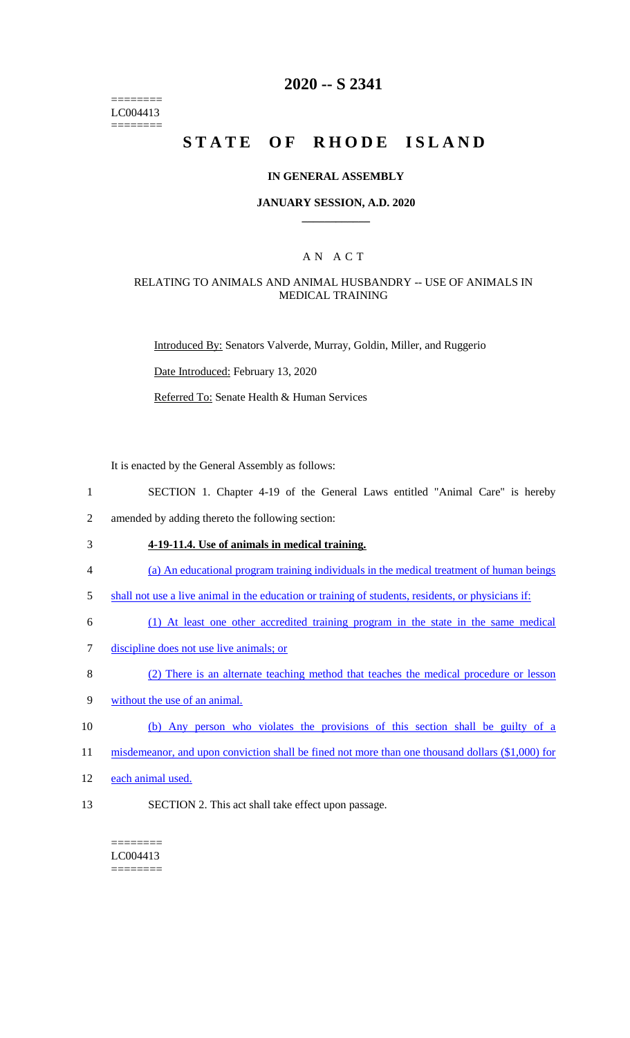======== LC004413 ========

## **2020 -- S 2341**

# **STATE OF RHODE ISLAND**

#### **IN GENERAL ASSEMBLY**

#### **JANUARY SESSION, A.D. 2020 \_\_\_\_\_\_\_\_\_\_\_\_**

## A N A C T

#### RELATING TO ANIMALS AND ANIMAL HUSBANDRY -- USE OF ANIMALS IN MEDICAL TRAINING

Introduced By: Senators Valverde, Murray, Goldin, Miller, and Ruggerio

Date Introduced: February 13, 2020

Referred To: Senate Health & Human Services

It is enacted by the General Assembly as follows:

- 1 SECTION 1. Chapter 4-19 of the General Laws entitled "Animal Care" is hereby
- 2 amended by adding thereto the following section:
- 3 **4-19-11.4. Use of animals in medical training.**
- 4 (a) An educational program training individuals in the medical treatment of human beings
- 5 shall not use a live animal in the education or training of students, residents, or physicians if:
- 6 (1) At least one other accredited training program in the state in the same medical
- 7 discipline does not use live animals; or
- 8 (2) There is an alternate teaching method that teaches the medical procedure or lesson
- 9 without the use of an animal.
- 10 (b) Any person who violates the provisions of this section shall be guilty of a
- 11 misdemeanor, and upon conviction shall be fined not more than one thousand dollars (\$1,000) for
- 12 each animal used.
- 13 SECTION 2. This act shall take effect upon passage.

======== LC004413 ========